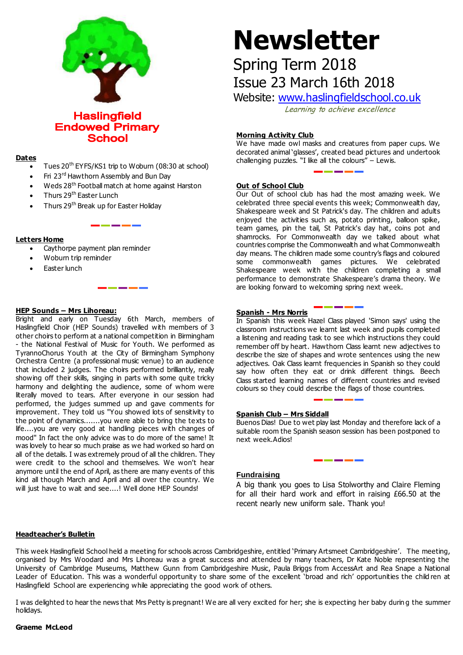

**Haslingfield Endowed Primary School** 

### **Dates**

- Tues 20<sup>th</sup> EYFS/KS1 trip to Woburn (08:30 at school)
- Fri 23<sup>rd</sup> Hawthorn Assembly and Bun Day
- Weds 28th Football match at home against Harston
- Thurs 29th Easter Lunch
- Thurs 29th Break up for Easter Holiday

#### **Letters Home**

- Caythorpe payment plan reminder
- Woburn trip reminder
- Easter lunch

#### **HEP Sounds – Mrs Lihoreau:**

Bright and early on Tuesday 6th March, members of Haslingfield Choir (HEP Sounds) travelled with members of 3 other choirs to perform at a national competition in Birmingham - the National Festival of Music for Youth. We performed as TyrannoChorus Youth at the City of Birmingham Symphony Orchestra Centre (a professional music venue) to an audience that included 2 judges. The choirs performed brilliantly, really showing off their skills, singing in parts with some quite tricky harmony and delighting the audience, some of whom were literally moved to tears. After everyone in our session had performed, the judges summed up and gave comments for improvement. They told us "You showed lots of sensitivity to the point of dynamics.......you were able to bring the te xts to life....you are very good at handling pieces with changes of mood" In fact the only advice was to do more of the same! It was lovely to hear so much praise as we had worked so hard on all of the details. I was extremely proud of all the children. They were credit to the school and themselves. We won't hear anymore until the end of April, as there are many events of this kind all though March and April and all over the country. We will just have to wait and see....! Well done HEP Sounds!

# **Newsletter**

# Spring Term 2018 Issue 23 March 16th 2018

Website: [www.haslingfieldschool.co.uk](http://www.haslingfieldschool.co.uk/) Learning to achieve excellence

# **Morning Activity Club**

We have made owl masks and creatures from paper cups. We decorated animal 'glasses', created bead pictures and undertook challenging puzzles. "I like all the colours" – Lewis.

#### **Out of School Club**

Our Out of school club has had the most amazing week. We celebrated three special events this week; Commonwealth day, Shakespeare week and St Patrick's day. The children and adults enjoyed the activities such as, potato printing, balloon spike, team games, pin the tail, St Patrick's day hat, coins pot and shamrocks. For Commonwealth day we talked about what countries comprise the Commonwealth and what Commonwealth day means. The children made some country's flags and coloured some commonwealth games pictures. We celebrated Shakespeare week with the children completing a small performance to demonstrate Shakespeare's drama theory. We are looking forward to welcoming spring next week.

#### **Spanish - Mrs Norris**

adjectives. Oak Class learnt frequencies in Spanish so they could Class started learning names of different countries and revised In Spanish this week Hazel Class played 'Simon says' using the classroom instructions we learnt last week and pupils completed a listening and reading task to see which instructions they could remember off by heart. Hawthorn Class learnt new adjectives to describe the size of shapes and wrote sentences using the new say how often they eat or drink different things. Beech colours so they could describe the flags of those countries.

# **Spanish Club – Mrs Siddall**

Buenos Dias! Due to wet play last Monday and therefore lack of a suitable room the Spanish season session has been postponed to next week.Adios!

\_\_\_\_\_

# **Fundraising**

A big thank you goes to Lisa Stolworthy and Claire Fleming for all their hard work and effort in raising £66.50 at the recent nearly new uniform sale. Thank you!

# **Headteacher's Bulletin**

This week Haslingfield School held a meeting for schools across Cambridgeshire, entitled 'Primary Artsmeet Cambridgeshire'. The meeting, organised by Mrs Woodard and Mrs Lihoreau was a great success and attended by many teachers, Dr Kate Noble representing the University of Cambridge Museums, Matthew Gunn from Cambridgeshire Music, Paula Briggs from AccessArt and Rea Snape a National Leader of Education. This was a wonderful opportunity to share some of the excellent 'broad and rich' opportunities the child ren at Haslingfield School are experiencing while appreciating the good work of others.

I was delighted to hear the news that Mrs Petty is pregnant! We are all very excited for her; she is expecting her baby durin g the summer holidays.

#### **Graeme McLeod**